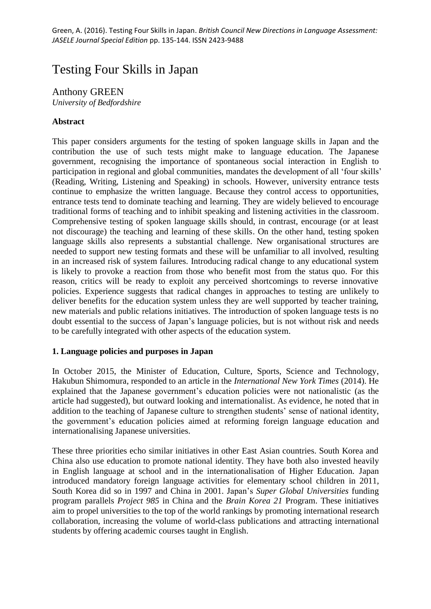# Testing Four Skills in Japan

## Anthony GREEN

*University of Bedfordshire*

## **Abstract**

This paper considers arguments for the testing of spoken language skills in Japan and the contribution the use of such tests might make to language education. The Japanese government, recognising the importance of spontaneous social interaction in English to participation in regional and global communities, mandates the development of all 'four skills' (Reading, Writing, Listening and Speaking) in schools. However, university entrance tests continue to emphasize the written language. Because they control access to opportunities, entrance tests tend to dominate teaching and learning. They are widely believed to encourage traditional forms of teaching and to inhibit speaking and listening activities in the classroom. Comprehensive testing of spoken language skills should, in contrast, encourage (or at least not discourage) the teaching and learning of these skills. On the other hand, testing spoken language skills also represents a substantial challenge. New organisational structures are needed to support new testing formats and these will be unfamiliar to all involved, resulting in an increased risk of system failures. Introducing radical change to any educational system is likely to provoke a reaction from those who benefit most from the status quo. For this reason, critics will be ready to exploit any perceived shortcomings to reverse innovative policies. Experience suggests that radical changes in approaches to testing are unlikely to deliver benefits for the education system unless they are well supported by teacher training, new materials and public relations initiatives. The introduction of spoken language tests is no doubt essential to the success of Japan's language policies, but is not without risk and needs to be carefully integrated with other aspects of the education system.

## **1. Language policies and purposes in Japan**

In October 2015, the Minister of Education, Culture, Sports, Science and Technology, Hakubun Shimomura, responded to an article in the *International New York Times* (2014). He explained that the Japanese government's education policies were not nationalistic (as the article had suggested), but outward looking and internationalist. As evidence, he noted that in addition to the teaching of Japanese culture to strengthen students' sense of national identity, the government's education policies aimed at reforming foreign language education and internationalising Japanese universities.

These three priorities echo similar initiatives in other East Asian countries. South Korea and China also use education to promote national identity. They have both also invested heavily in English language at school and in the internationalisation of Higher Education. Japan introduced mandatory foreign language activities for elementary school children in 2011, South Korea did so in 1997 and China in 2001. Japan's *Super Global Universities* funding program parallels *Project 985* in China and the *Brain Korea 21* Program. These initiatives aim to propel universities to the top of the world rankings by promoting international research collaboration, increasing the volume of world-class publications and attracting international students by offering academic courses taught in English.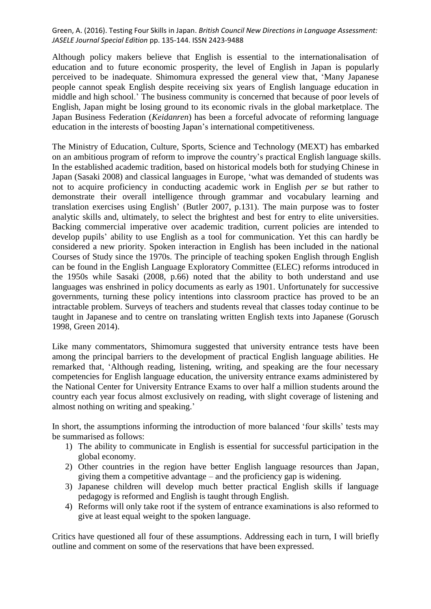Although policy makers believe that English is essential to the internationalisation of education and to future economic prosperity, the level of English in Japan is popularly perceived to be inadequate. Shimomura expressed the general view that, 'Many Japanese people cannot speak English despite receiving six years of English language education in middle and high school.' The business community is concerned that because of poor levels of English, Japan might be losing ground to its economic rivals in the global marketplace. The Japan Business Federation (*Keidanren*) has been a forceful advocate of reforming language education in the interests of boosting Japan's international competitiveness.

The Ministry of Education, Culture, Sports, Science and Technology (MEXT) has embarked on an ambitious program of reform to improve the country's practical English language skills. In the established academic tradition, based on historical models both for studying Chinese in Japan (Sasaki 2008) and classical languages in Europe, 'what was demanded of students was not to acquire proficiency in conducting academic work in English *per se* but rather to demonstrate their overall intelligence through grammar and vocabulary learning and translation exercises using English' (Butler 2007, p.131). The main purpose was to foster analytic skills and, ultimately, to select the brightest and best for entry to elite universities. Backing commercial imperative over academic tradition, current policies are intended to develop pupils' ability to use English as a tool for communication. Yet this can hardly be considered a new priority. Spoken interaction in English has been included in the national Courses of Study since the 1970s. The principle of teaching spoken English through English can be found in the English Language Exploratory Committee (ELEC) reforms introduced in the 1950s while Sasaki (2008, p.66) noted that the ability to both understand and use languages was enshrined in policy documents as early as 1901. Unfortunately for successive governments, turning these policy intentions into classroom practice has proved to be an intractable problem. Surveys of teachers and students reveal that classes today continue to be taught in Japanese and to centre on translating written English texts into Japanese (Gorusch 1998, Green 2014).

Like many commentators, Shimomura suggested that university entrance tests have been among the principal barriers to the development of practical English language abilities. He remarked that, 'Although reading, listening, writing, and speaking are the four necessary competencies for English language education, the university entrance exams administered by the National Center for University Entrance Exams to over half a million students around the country each year focus almost exclusively on reading, with slight coverage of listening and almost nothing on writing and speaking.'

In short, the assumptions informing the introduction of more balanced 'four skills' tests may be summarised as follows:

- 1) The ability to communicate in English is essential for successful participation in the global economy.
- 2) Other countries in the region have better English language resources than Japan, giving them a competitive advantage – and the proficiency gap is widening.
- 3) Japanese children will develop much better practical English skills if language pedagogy is reformed and English is taught through English.
- 4) Reforms will only take root if the system of entrance examinations is also reformed to give at least equal weight to the spoken language.

Critics have questioned all four of these assumptions. Addressing each in turn, I will briefly outline and comment on some of the reservations that have been expressed.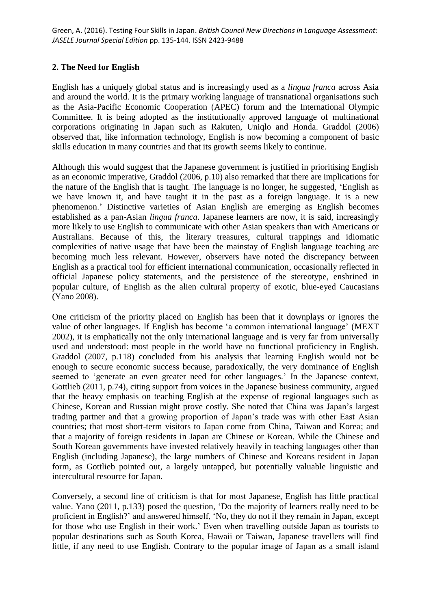#### **2. The Need for English**

English has a uniquely global status and is increasingly used as a *lingua franca* across Asia and around the world. It is the primary working language of transnational organisations such as the Asia-Pacific Economic Cooperation (APEC) forum and the International Olympic Committee. It is being adopted as the institutionally approved language of multinational corporations originating in Japan such as Rakuten, Uniqlo and Honda. Graddol (2006) observed that, like information technology, English is now becoming a component of basic skills education in many countries and that its growth seems likely to continue.

Although this would suggest that the Japanese government is justified in prioritising English as an economic imperative, Graddol (2006, p.10) also remarked that there are implications for the nature of the English that is taught. The language is no longer, he suggested, 'English as we have known it, and have taught it in the past as a foreign language. It is a new phenomenon.' Distinctive varieties of Asian English are emerging as English becomes established as a pan-Asian *lingua franca*. Japanese learners are now, it is said, increasingly more likely to use English to communicate with other Asian speakers than with Americans or Australians. Because of this, the literary treasures, cultural trappings and idiomatic complexities of native usage that have been the mainstay of English language teaching are becoming much less relevant. However, observers have noted the discrepancy between English as a practical tool for efficient international communication, occasionally reflected in official Japanese policy statements, and the persistence of the stereotype, enshrined in popular culture, of English as the alien cultural property of exotic, blue-eyed Caucasians (Yano 2008).

One criticism of the priority placed on English has been that it downplays or ignores the value of other languages. If English has become 'a common international language' (MEXT 2002), it is emphatically not the only international language and is very far from universally used and understood: most people in the world have no functional proficiency in English. Graddol (2007, p.118) concluded from his analysis that learning English would not be enough to secure economic success because, paradoxically, the very dominance of English seemed to 'generate an even greater need for other languages.' In the Japanese context, Gottlieb (2011, p.74), citing support from voices in the Japanese business community, argued that the heavy emphasis on teaching English at the expense of regional languages such as Chinese, Korean and Russian might prove costly. She noted that China was Japan's largest trading partner and that a growing proportion of Japan's trade was with other East Asian countries; that most short-term visitors to Japan come from China, Taiwan and Korea; and that a majority of foreign residents in Japan are Chinese or Korean. While the Chinese and South Korean governments have invested relatively heavily in teaching languages other than English (including Japanese), the large numbers of Chinese and Koreans resident in Japan form, as Gottlieb pointed out, a largely untapped, but potentially valuable linguistic and intercultural resource for Japan.

Conversely, a second line of criticism is that for most Japanese, English has little practical value. Yano (2011, p.133) posed the question, 'Do the majority of learners really need to be proficient in English?' and answered himself, 'No, they do not if they remain in Japan, except for those who use English in their work.' Even when travelling outside Japan as tourists to popular destinations such as South Korea, Hawaii or Taiwan, Japanese travellers will find little, if any need to use English. Contrary to the popular image of Japan as a small island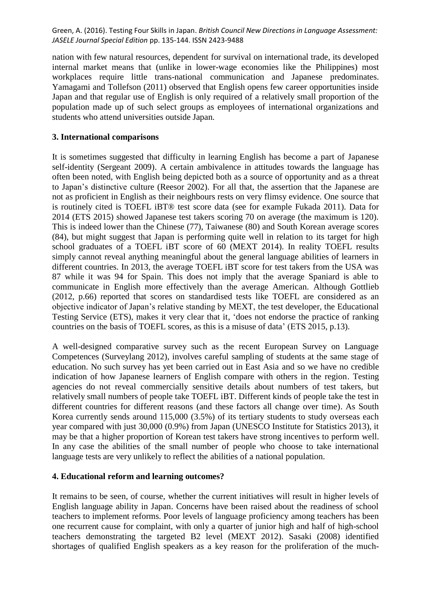nation with few natural resources, dependent for survival on international trade, its developed internal market means that (unlike in lower-wage economies like the Philippines) most workplaces require little trans-national communication and Japanese predominates. Yamagami and Tollefson (2011) observed that English opens few career opportunities inside Japan and that regular use of English is only required of a relatively small proportion of the population made up of such select groups as employees of international organizations and students who attend universities outside Japan.

#### **3. International comparisons**

It is sometimes suggested that difficulty in learning English has become a part of Japanese self-identity (Sergeant 2009). A certain ambivalence in attitudes towards the language has often been noted, with English being depicted both as a source of opportunity and as a threat to Japan's distinctive culture (Reesor 2002). For all that, the assertion that the Japanese are not as proficient in English as their neighbours rests on very flimsy evidence. One source that is routinely cited is TOEFL iBT® test score data (see for example Fukada 2011). Data for 2014 (ETS 2015) showed Japanese test takers scoring 70 on average (the maximum is 120). This is indeed lower than the Chinese (77), Taiwanese (80) and South Korean average scores (84), but might suggest that Japan is performing quite well in relation to its target for high school graduates of a TOEFL iBT score of 60 (MEXT 2014). In reality TOEFL results simply cannot reveal anything meaningful about the general language abilities of learners in different countries. In 2013, the average TOEFL iBT score for test takers from the USA was 87 while it was 94 for Spain. This does not imply that the average Spaniard is able to communicate in English more effectively than the average American. Although Gottlieb (2012, p.66) reported that scores on standardised tests like TOEFL are considered as an objective indicator of Japan's relative standing by MEXT, the test developer, the Educational Testing Service (ETS), makes it very clear that it, 'does not endorse the practice of ranking countries on the basis of TOEFL scores, as this is a misuse of data' (ETS 2015, p.13).

A well-designed comparative survey such as the recent European Survey on Language Competences (Surveylang 2012), involves careful sampling of students at the same stage of education. No such survey has yet been carried out in East Asia and so we have no credible indication of how Japanese learners of English compare with others in the region. Testing agencies do not reveal commercially sensitive details about numbers of test takers, but relatively small numbers of people take TOEFL iBT. Different kinds of people take the test in different countries for different reasons (and these factors all change over time). As South Korea currently sends around 115,000 (3.5%) of its tertiary students to study overseas each year compared with just 30,000 (0.9%) from Japan (UNESCO Institute for Statistics 2013), it may be that a higher proportion of Korean test takers have strong incentives to perform well. In any case the abilities of the small number of people who choose to take international language tests are very unlikely to reflect the abilities of a national population.

#### **4. Educational reform and learning outcomes?**

It remains to be seen, of course, whether the current initiatives will result in higher levels of English language ability in Japan. Concerns have been raised about the readiness of school teachers to implement reforms. Poor levels of language proficiency among teachers has been one recurrent cause for complaint, with only a quarter of junior high and half of high-school teachers demonstrating the targeted B2 level (MEXT 2012). Sasaki (2008) identified shortages of qualified English speakers as a key reason for the proliferation of the much-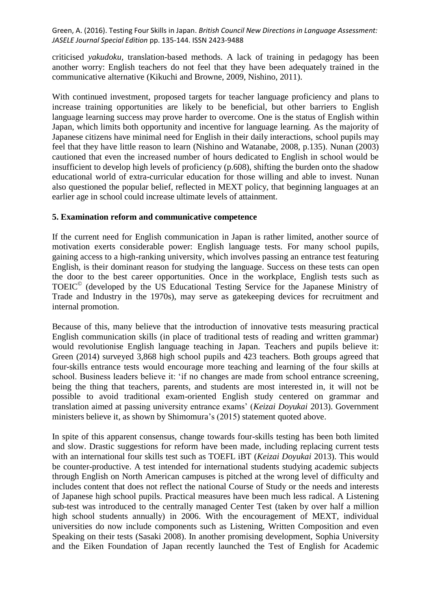criticised *yakudoku*, translation-based methods. A lack of training in pedagogy has been another worry: English teachers do not feel that they have been adequately trained in the communicative alternative (Kikuchi and Browne, 2009, Nishino, 2011).

With continued investment, proposed targets for teacher language proficiency and plans to increase training opportunities are likely to be beneficial, but other barriers to English language learning success may prove harder to overcome. One is the status of English within Japan, which limits both opportunity and incentive for language learning. As the majority of Japanese citizens have minimal need for English in their daily interactions, school pupils may feel that they have little reason to learn (Nishino and Watanabe, 2008, p.135). Nunan (2003) cautioned that even the increased number of hours dedicated to English in school would be insufficient to develop high levels of proficiency (p.608), shifting the burden onto the shadow educational world of extra-curricular education for those willing and able to invest. Nunan also questioned the popular belief, reflected in MEXT policy, that beginning languages at an earlier age in school could increase ultimate levels of attainment.

#### **5. Examination reform and communicative competence**

If the current need for English communication in Japan is rather limited, another source of motivation exerts considerable power: English language tests. For many school pupils, gaining access to a high-ranking university, which involves passing an entrance test featuring English, is their dominant reason for studying the language. Success on these tests can open the door to the best career opportunities. Once in the workplace, English tests such as TOEIC© (developed by the US Educational Testing Service for the Japanese Ministry of Trade and Industry in the 1970s), may serve as gatekeeping devices for recruitment and internal promotion.

Because of this, many believe that the introduction of innovative tests measuring practical English communication skills (in place of traditional tests of reading and written grammar) would revolutionise English language teaching in Japan. Teachers and pupils believe it: Green (2014) surveyed 3,868 high school pupils and 423 teachers. Both groups agreed that four-skills entrance tests would encourage more teaching and learning of the four skills at school. Business leaders believe it: 'if no changes are made from school entrance screening, being the thing that teachers, parents, and students are most interested in, it will not be possible to avoid traditional exam-oriented English study centered on grammar and translation aimed at passing university entrance exams' (*Keizai Doyukai* 2013). Government ministers believe it, as shown by Shimomura's (2015) statement quoted above.

In spite of this apparent consensus, change towards four-skills testing has been both limited and slow. Drastic suggestions for reform have been made, including replacing current tests with an international four skills test such as TOEFL iBT (*Keizai Doyukai* 2013). This would be counter-productive. A test intended for international students studying academic subjects through English on North American campuses is pitched at the wrong level of difficulty and includes content that does not reflect the national Course of Study or the needs and interests of Japanese high school pupils. Practical measures have been much less radical. A Listening sub-test was introduced to the centrally managed Center Test (taken by over half a million high school students annually) in 2006. With the encouragement of MEXT, individual universities do now include components such as Listening, Written Composition and even Speaking on their tests (Sasaki 2008). In another promising development, Sophia University and the Eiken Foundation of Japan recently launched the Test of English for Academic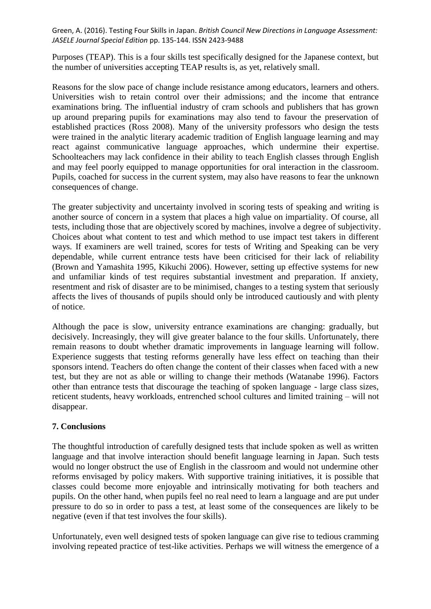Purposes (TEAP). This is a four skills test specifically designed for the Japanese context, but the number of universities accepting TEAP results is, as yet, relatively small.

Reasons for the slow pace of change include resistance among educators, learners and others. Universities wish to retain control over their admissions; and the income that entrance examinations bring. The influential industry of cram schools and publishers that has grown up around preparing pupils for examinations may also tend to favour the preservation of established practices (Ross 2008). Many of the university professors who design the tests were trained in the analytic literary academic tradition of English language learning and may react against communicative language approaches, which undermine their expertise. Schoolteachers may lack confidence in their ability to teach English classes through English and may feel poorly equipped to manage opportunities for oral interaction in the classroom. Pupils, coached for success in the current system, may also have reasons to fear the unknown consequences of change.

The greater subjectivity and uncertainty involved in scoring tests of speaking and writing is another source of concern in a system that places a high value on impartiality. Of course, all tests, including those that are objectively scored by machines, involve a degree of subjectivity. Choices about what content to test and which method to use impact test takers in different ways. If examiners are well trained, scores for tests of Writing and Speaking can be very dependable, while current entrance tests have been criticised for their lack of reliability (Brown and Yamashita 1995, Kikuchi 2006). However, setting up effective systems for new and unfamiliar kinds of test requires substantial investment and preparation. If anxiety, resentment and risk of disaster are to be minimised, changes to a testing system that seriously affects the lives of thousands of pupils should only be introduced cautiously and with plenty of notice.

Although the pace is slow, university entrance examinations are changing: gradually, but decisively. Increasingly, they will give greater balance to the four skills. Unfortunately, there remain reasons to doubt whether dramatic improvements in language learning will follow. Experience suggests that testing reforms generally have less effect on teaching than their sponsors intend. Teachers do often change the content of their classes when faced with a new test, but they are not as able or willing to change their methods (Watanabe 1996). Factors other than entrance tests that discourage the teaching of spoken language - large class sizes, reticent students, heavy workloads, entrenched school cultures and limited training – will not disappear.

## **7. Conclusions**

The thoughtful introduction of carefully designed tests that include spoken as well as written language and that involve interaction should benefit language learning in Japan. Such tests would no longer obstruct the use of English in the classroom and would not undermine other reforms envisaged by policy makers. With supportive training initiatives, it is possible that classes could become more enjoyable and intrinsically motivating for both teachers and pupils. On the other hand, when pupils feel no real need to learn a language and are put under pressure to do so in order to pass a test, at least some of the consequences are likely to be negative (even if that test involves the four skills).

Unfortunately, even well designed tests of spoken language can give rise to tedious cramming involving repeated practice of test-like activities. Perhaps we will witness the emergence of a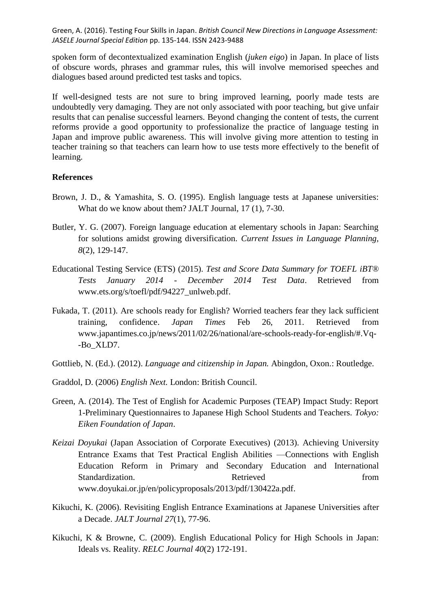spoken form of decontextualized examination English (*juken eigo*) in Japan. In place of lists of obscure words, phrases and grammar rules, this will involve memorised speeches and dialogues based around predicted test tasks and topics.

If well-designed tests are not sure to bring improved learning, poorly made tests are undoubtedly very damaging. They are not only associated with poor teaching, but give unfair results that can penalise successful learners. Beyond changing the content of tests, the current reforms provide a good opportunity to professionalize the practice of language testing in Japan and improve public awareness. This will involve giving more attention to testing in teacher training so that teachers can learn how to use tests more effectively to the benefit of learning.

#### **References**

- Brown, J. D., & Yamashita, S. O. (1995). English language tests at Japanese universities: What do we know about them? JALT Journal, 17 (1), 7-30.
- Butler, Y. G. (2007). Foreign language education at elementary schools in Japan: Searching for solutions amidst growing diversification. *Current Issues in Language Planning, 8*(2), 129-147.
- Educational Testing Service (ETS) (2015). *Test and Score Data Summary for TOEFL iBT® Tests January 2014 - December 2014 Test Data*. Retrieved from www.ets.org/s/toefl/pdf/94227\_unlweb.pdf.
- Fukada, T. (2011). Are schools ready for English? Worried teachers fear they lack sufficient training, confidence. *Japan Times* Feb 26, 2011. Retrieved from www.japantimes.co.jp/news/2011/02/26/national/are-schools-ready-for-english/#.Vq- -Bo\_XLD7.
- Gottlieb, N. (Ed.). (2012). *Language and citizenship in Japan.* Abingdon, Oxon.: Routledge.
- Graddol, D. (2006) *English Next.* London: British Council.
- Green, A. (2014). The Test of English for Academic Purposes (TEAP) Impact Study: Report 1-Preliminary Questionnaires to Japanese High School Students and Teachers. *Tokyo: Eiken Foundation of Japan*.
- *Keizai Doyukai* (Japan Association of Corporate Executives) (2013). Achieving University Entrance Exams that Test Practical English Abilities —Connections with English Education Reform in Primary and Secondary Education and International Standardization. Retrieved from From  $\alpha$ www.doyukai.or.jp/en/policyproposals/2013/pdf/130422a.pdf.
- Kikuchi, K. (2006). Revisiting English Entrance Examinations at Japanese Universities after a Decade. *JALT Journal 27*(1), 77-96.
- Kikuchi, K & Browne, C. (2009). English Educational Policy for High Schools in Japan: Ideals vs. Reality. *RELC Journal 40*(2) 172-191.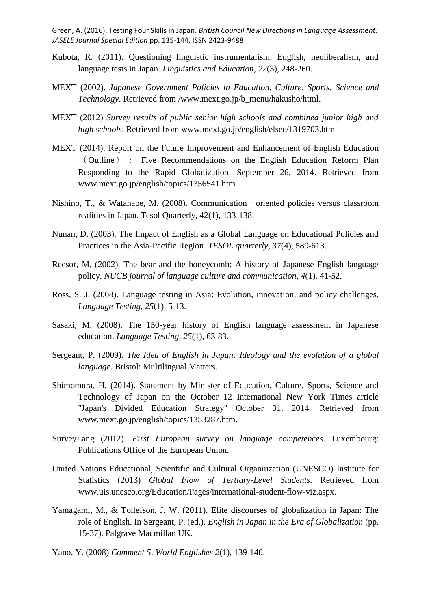- Kubota, R. (2011). Questioning linguistic instrumentalism: English, neoliberalism, and language tests in Japan. *Linguistics and Education*, *22*(3), 248-260.
- MEXT (2002). *Japanese Government Policies in Education, Culture, Sports, Science and Technology*. Retrieved from /www.mext.go.jp/b\_menu/hakusho/html.
- MEXT (2012) *Survey results of public senior high schools and combined junior high and high schools*. Retrieved from www.mext.go.jp/english/elsec/1319703.htm
- MEXT (2014). Report on the Future Improvement and Enhancement of English Education ( Outline ) : Five Recommendations on the English Education Reform Plan Responding to the Rapid Globalization. September 26, 2014. Retrieved from www.mext.go.jp/english/topics/1356541.htm
- Nishino, T., & Watanabe, M. (2008). Communication oriented policies versus classroom realities in Japan. Tesol Quarterly, 42(1), 133-138.
- Nunan, D. (2003). The Impact of English as a Global Language on Educational Policies and Practices in the Asia‐Pacific Region. *TESOL quarterly*, *37*(4), 589-613.
- Reesor, M. (2002). The bear and the honeycomb: A history of Japanese English language policy. *NUCB journal of language culture and communication*, *4*(1), 41-52.
- Ross, S. J. (2008). Language testing in Asia: Evolution, innovation, and policy challenges. *Language Testing*, *25*(1), 5-13.
- Sasaki, M. (2008). The 150-year history of English language assessment in Japanese education. *Language Testing*, *25*(1), 63-83.
- Sergeant, P. (2009). *The Idea of English in Japan: Ideology and the evolution of a global language.* Bristol: Multilingual Matters.
- Shimomura, H. (2014). Statement by Minister of Education, Culture, Sports, Science and Technology of Japan on the October 12 International New York Times article "Japan's Divided Education Strategy" October 31, 2014. Retrieved from www.mext.go.jp/english/topics/1353287.htm.
- SurveyLang (2012). *First European survey on language competences*. Luxembourg: Publications Office of the European Union.
- United Nations Educational, Scientific and Cultural Organiuzation (UNESCO) Institute for Statistics (2013) *Global Flow of Tertiary-Level Students*. Retrieved from www.uis.unesco.org/Education/Pages/international-student-flow-viz.aspx.
- Yamagami, M., & Tollefson, J. W. (2011). Elite discourses of globalization in Japan: The role of English. In Sergeant, P. (ed.). *English in Japan in the Era of Globalization* (pp. 15-37). Palgrave Macmillan UK.
- Yano, Y. (2008) *Comment 5*. *World Englishes 2*(1), 139-140.